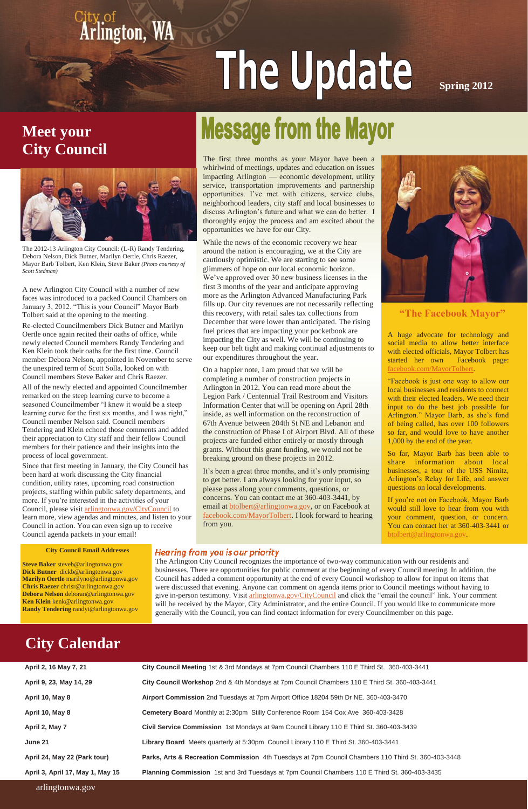## **Meet your City Council**



City of **Arlington**, WA

# The Update

**Spring 2012**

The first three months as your Mayor have been a whirlwind of meetings, updates and education on issues impacting Arlington — economic development, utility service, transportation improvements and partnership opportunities. I've met with citizens, service clubs, neighborhood leaders, city staff and local businesses to discuss Arlington's future and what we can do better. I thoroughly enjoy the process and am excited about the opportunities we have for our City.

While the news of the economic recovery we hear around the nation is encouraging, we at the City are cautiously optimistic. We are starting to see some glimmers of hope on our local economic horizon. We've approved over 30 new business licenses in the first 3 months of the year and anticipate approving more as the Arlington Advanced Manufacturing Park fills up. Our city revenues are not necessarily reflecting this recovery, with retail sales tax collections from December that were lower than anticipated. The rising fuel prices that are impacting your pocketbook are impacting the City as well. We will be continuing to keep our belt tight and making continual adjustments to our expenditures throughout the year.

On a happier note, I am proud that we will be completing a number of construction projects in Arlington in 2012. You can read more about the Legion Park / Centennial Trail Restroom and Visitors Information Center that will be opening on April 28th inside, as well information on the reconstruction of 67th Avenue between 204th St NE and Lebanon and the construction of Phase I of Airport Blvd. All of these projects are funded either entirely or mostly through grants. Without this grant funding, we would not be breaking ground on these projects in 2012.

It's been a great three months, and it's only promising to get better. I am always looking for your input, so please pass along your comments, questions, or concerns. You can contact me at 360-403-3441, by email at [btolbert@arlingtonwa.gov,](mailto:btolbert@arlingtonwa.gov) or on Facebook at [facebook.com/MayorTolbert.](http://www.facebook.com/MayorTolbert) I look forward to hearing from you.



A huge advocate for technology and social media to allow better interface with elected officials, Mayor Tolbert has started her own Facebook page: [facebook.com/MayorTolbert.](facebook.com/MayorTolbert)

"Facebook is just one way to allow our local businesses and residents to connect with their elected leaders. We need their input to do the best job possible for Arlington." Mayor Barb, as she's fond of being called, has over 100 followers so far, and would love to have another 1,000 by the end of the year.

So far, Mayor Barb has been able to share information about local businesses, a tour of the USS Nimitz, Arlington's Relay for Life, and answer questions on local developments.

If you're not on Facebook, Mayor Barb would still love to hear from you with your comment, question, or concern. You can contact her at 360-403-3441 or [btolbert@arlingtonwa.gov.](mailto:btolbert@arlingtonwa.gov)

**"The Facebook Mayor"**

A new Arlington City Council with a number of new faces was introduced to a packed Council Chambers on January 3, 2012. "This is your Council" Mayor Barb Tolbert said at the opening to the meeting.

Re-elected Councilmembers Dick Butner and Marilyn Oertle once again recited their oaths of office, while newly elected Council members Randy Tendering and Ken Klein took their oaths for the first time. Council member Debora Nelson, appointed in November to serve the unexpired term of Scott Solla, looked on with Council members Steve Baker and Chris Raezer.

All of the newly elected and appointed Councilmember remarked on the steep learning curve to become a seasoned Councilmember "I knew it would be a steep learning curve for the first six months, and I was right," Council member Nelson said. Council members Tendering and Klein echoed those comments and added their appreciation to City staff and their fellow Council members for their patience and their insights into the process of local government.

Since that first meeting in January, the City Council has been hard at work discussing the City financial condition, utility rates, upcoming road construction projects, staffing within public safety departments, and more. If you're interested in the activities of your Council, please visit [arlingtonwa.gov/CityCouncil](http://www.arlingtonwa.gov/CityCouncil) to learn more, view agendas and minutes, and listen to your Council in action. You can even sign up to receive Council agenda packets in your email!

## **Message from the Mayor**

#### **City Council Email Addresses**

**Steve Baker** steveb@arlingtonwa.gov **Dick Butner** dickb@arlingtonwa.gov **Marilyn Oertle** marilyno@arlingtonwa.gov **Chris Raezer** chrisr@arlingtonwa.gov **Debora Nelson** deboran@arlingtonwa.gov **Ken Klein** kenk@arlingtonwa.gov **Randy Tendering** randyt@arlingtonwa.gov Hearing from you is our priority

#### arlingtonwa.gov

| April 2, 16 May 7, 21            | City Council Meeting 1st & 3rd Mondays at 7pm Council Chambers 110 E Third St. 360-403-3441         |
|----------------------------------|-----------------------------------------------------------------------------------------------------|
| April 9, 23, May 14, 29          | City Council Workshop 2nd & 4th Mondays at 7pm Council Chambers 110 E Third St. 360-403-3441        |
| April 10, May 8                  | Airport Commission 2nd Tuesdays at 7pm Airport Office 18204 59th Dr NE. 360-403-3470                |
| April 10, May 8                  | Cemetery Board Monthly at 2:30pm Stilly Conference Room 154 Cox Ave 360-403-3428                    |
| April 2, May 7                   | Civil Service Commission 1st Mondays at 9am Council Library 110 E Third St. 360-403-3439            |
| June 21                          | Library Board Meets quarterly at 5:30pm Council Library 110 E Third St. 360-403-3441                |
| April 24, May 22 (Park tour)     | Parks, Arts & Recreation Commission 4th Tuesdays at 7pm Council Chambers 110 Third St. 360-403-3448 |
| April 3, April 17, May 1, May 15 | Planning Commission 1st and 3rd Tuesdays at 7pm Council Chambers 110 E Third St. 360-403-3435       |

## **City Calendar**

The Arlington City Council recognizes the importance of two-way communication with our residents and businesses. There are opportunities for public comment at the beginning of every Council meeting. In addition, the Council has added a comment opportunity at the end of every Council workshop to allow for input on items that were discussed that evening. Anyone can comment on agenda items prior to Council meetings without having to give in-person testimony. Visit [arlingtonwa.gov/CityCouncil](http://www.arlingtonwa.gov/index.aspx?page=66) and click the "email the council" link. Your comment will be received by the Mayor, City Administrator, and the entire Council. If you would like to communicate more generally with the Council, you can find contact information for every Councilmember on this page.

The 2012-13 Arlington City Council: (L-R) Randy Tendering, Debora Nelson, Dick Butner, Marilyn Oertle, Chris Raezer, Mayor Barb Tolbert, Ken Klein, Steve Baker *(Photo courtesy of Scott Stedman)*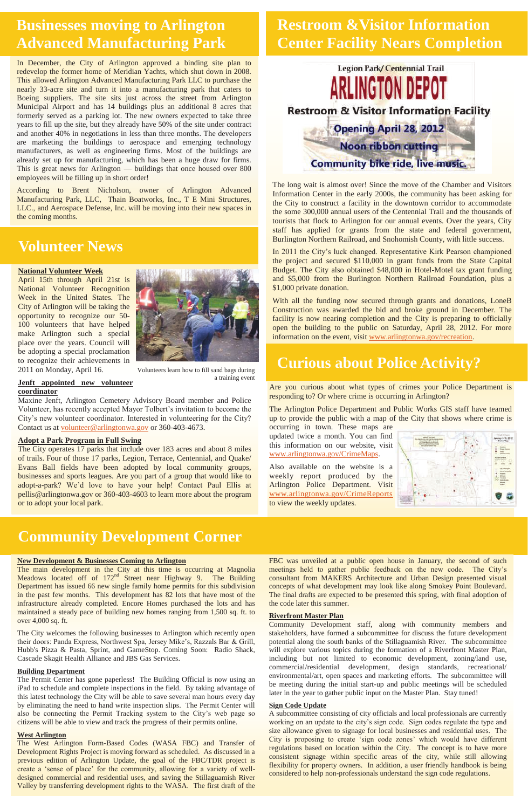## **Restroom &Visitor Information Center Facility Nears Completion**



In December, the City of Arlington approved a binding site plan to redevelop the former home of Meridian Yachts, which shut down in 2008. This allowed Arlington Advanced Manufacturing Park LLC to purchase the nearly 33-acre site and turn it into a manufacturing park that caters to Boeing suppliers. The site sits just across the street from Arlington Municipal Airport and has 14 buildings plus an additional 8 acres that formerly served as a parking lot. The new owners expected to take three years to fill up the site, but they already have 50% of the site under contract and another 40% in negotiations in less than three months. The developers are marketing the buildings to aerospace and emerging technology manufacturers, as well as engineering firms. Most of the buildings are already set up for manufacturing, which has been a huge draw for firms. This is great news for Arlington — buildings that once housed over 800 employees will be filling up in short order!

According to Brent Nicholson, owner of Arlington Advanced Manufacturing Park, LLC, Thain Boatworks, Inc., T E Mini Structures, LLC., and Aerospace Defense, Inc. will be moving into their new spaces in the coming months.

## **Businesses moving to Arlington Advanced Manufacturing Park**

## **Volunteer News**

#### **National Volunteer Week**

April 15th through April 21st is National Volunteer Recognition Week in the United States. The City of Arlington will be taking the opportunity to recognize our 50- 100 volunteers that have helped make Arlington such a special place over the years. Council will be adopting a special proclamation to recognize their achievements in 2011 on Monday, April 16.

With all the funding now secured through grants and donations, LoneB Construction was awarded the bid and broke ground in December. The facility is now nearing completion and the City is preparing to officially open the building to the public on Saturday, April 28, 2012. For more information on the event, visit [www.arlingtonwa.gov/recreation.](http://www.arlingtonwa.gov/recreation)

#### **Jenft appointed new volunteer coordinator**

Maxine Jenft, Arlington Cemetery Advisory Board member and Police Volunteer, has recently accepted Mayor Tolbert's invitation to become the City's new volunteer coordinator. Interested in volunteering for the City? Contact us at [volunteer@arlingtonwa.gov](mailto:volunteer@arlingtonwa.gov) or 360-403-4673.

#### **Adopt a Park Program in Full Swing**

The City operates 17 parks that include over 183 acres and about 8 miles of trails. Four of those 17 parks, Legion, Terrace, Centennial, and Quake/ Evans Ball fields have been adopted by local community groups, businesses and sports leagues. Are you part of a group that would like to adopt-a-park? We'd love to have your help! Contact Paul Ellis at pellis@arlingtonwa.gov or 360-403-4603 to learn more about the program or to adopt your local park.

The main development in the City at this time is occurring at Magnolia Meadows located off of 172<sup>nd</sup> Street near Highway 9. The Building Department has issued 66 new single family home permits for this subdivision in the past few months. This development has 82 lots that have most of the infrastructure already completed. Encore Homes purchased the lots and has maintained a steady pace of building new homes ranging from 1,500 sq. ft. to over 4,000 sq. ft.

The long wait is almost over! Since the move of the Chamber and Visitors Information Center in the early 2000s, the community has been asking for the City to construct a facility in the downtown corridor to accommodate the some 300,000 annual users of the Centennial Trail and the thousands of tourists that flock to Arlington for our annual events. Over the years, City staff has applied for grants from the state and federal government, Burlington Northern Railroad, and Snohomish County, with little success.

In 2011 the City's luck changed. Representative Kirk Pearson championed the project and secured \$110,000 in grant funds from the State Capital Budget. The City also obtained \$48,000 in Hotel-Motel tax grant funding and \$5,000 from the Burlington Northern Railroad Foundation, plus a \$1,000 private donation.

## **Curious about Police Activity?**

Are you curious about what types of crimes your Police Department is responding to? Or where crime is occurring in Arlington?

The Arlington Police Department and Public Works GIS staff have teamed up to provide the public with a map of the City that shows where crime is

occurring in town. These maps are updated twice a month. You can find this information on our website, visit [www.arlingtonwa.gov/CrimeMaps.](http://www.arlingtonwa.gov/index.aspx?page=338)

Also available on the website is a weekly report produced by the Arlington Police Department. Visit [www.arlingtonwa.gov/CrimeReports](http://www.arlingtonwa.gov/index.aspx?page=228) to view the weekly updates.



## **Community Development Corner**

#### **New Development & Businesses Coming to Arlington**

The City welcomes the following businesses to Arlington which recently open their doors: Panda Express, Northwest Spa, Jersey Mike's, Razzals Bar & Grill, Hubb's Pizza & Pasta, Sprint, and GameStop. Coming Soon: Radio Shack, Cascade Skagit Health Alliance and JBS Gas Services.

#### **Building Department**

The Permit Center has gone paperless! The Building Official is now using an iPad to schedule and complete inspections in the field. By taking advantage of this latest technology the City will be able to save several man hours every day by eliminating the need to hand write inspection slips. The Permit Center will also be connecting the Permit Tracking system to the City's web page so citizens will be able to view and track the progress of their permits online.

#### **West Arlington**

The West Arlington Form-Based Codes (WASA FBC) and Transfer of Development Rights Project is moving forward as scheduled. As discussed in a previous edition of Arlington Update, the goal of the FBC/TDR project is create a 'sense of place' for the community, allowing for a variety of welldesigned commercial and residential uses, and saving the Stillaguamish River Valley by transferring development rights to the WASA. The first draft of the

FBC was unveiled at a public open house in January, the second of such meetings held to gather public feedback on the new code. The City's consultant from MAKERS Architecture and Urban Design presented visual concepts of what development may look like along Smokey Point Boulevard. The final drafts are expected to be presented this spring, with final adoption of the code later this summer.

#### **Riverfront Master Plan**

Community Development staff, along with community members and stakeholders, have formed a subcommittee for discuss the future development potential along the south banks of the Stillaguamish River. The subcommittee will explore various topics during the formation of a Riverfront Master Plan, including but not limited to economic development, zoning/land use, commercial/residential development, design standards, recreational/ environmental/art, open spaces and marketing efforts. The subcommittee will be meeting during the initial start-up and public meetings will be scheduled later in the year to gather public input on the Master Plan. Stay tuned!

#### **Sign Code Update**

A subcommittee consisting of city officials and local professionals are currently working on an update to the city's sign code. Sign codes regulate the type and size allowance given to signage for local businesses and residential uses. The City is proposing to create 'sign code zones' which would have different regulations based on location within the City. The concept is to have more consistent signage within specific areas of the city, while still allowing flexibility for property owners. In addition, a user friendly handbook is being considered to help non-professionals understand the sign code regulations.



Volunteers learn how to fill sand bags during a training event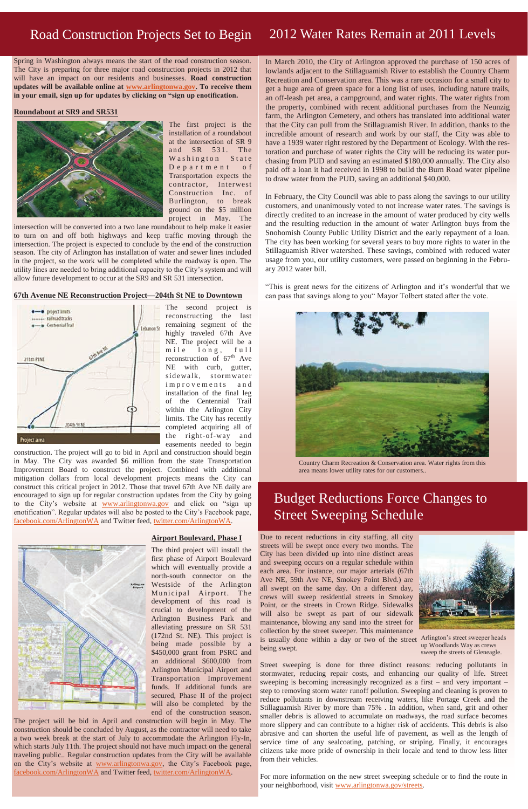Spring in Washington always means the start of the road construction season. The City is preparing for three major road construction projects in 2012 that will have an impact on our residents and businesses. **Road construction updates will be available online at [www.arlingtonwa.gov.](http://www.arlingtonwa.gov) To receive them in your email, sign up for updates by clicking on "sign up enotification.**

#### **Roundabout at SR9 and SR531**



The first project is the installation of a roundabout at the intersection of SR 9 and SR 531. The Washington State Department of Transportation expects the contractor, Interwest Construction Inc. of Burlington, to break ground on the \$5 million project in May. The

intersection will be converted into a two lane roundabout to help make it easier to turn on and off both highways and keep traffic moving through the intersection. The project is expected to conclude by the end of the construction season. The city of Arlington has installation of water and sewer lines included in the project, so the work will be completed while the roadway is open. The utility lines are needed to bring additional capacity to the City's system and will allow future development to occur at the SR9 and SR 531 intersection.

#### **67th Avenue NE Reconstruction Project—204th St NE to Downtown**



The second project is reconstructing the last remaining segment of the highly traveled 67th Ave NE. The project will be a mile long, full reconstruction of  $67<sup>th</sup>$  Ave NE with curb, gutter, sidewalk, stormwater improvements and installation of the final leg of the Centennial Trail within the Arlington City limits. The City has recently completed acquiring all of the right-of-way and easements needed to begin

construction. The project will go to bid in April and construction should begin in May. The City was awarded \$6 million from the state Transportation Improvement Board to construct the project. Combined with additional mitigation dollars from local development projects means the City can construct this critical project in 2012. Those that travel 67th Ave NE daily are encouraged to sign up for regular construction updates from the City by going to the City's website at **[www.arlingtonwa.gov](http://www.arlingtonwa.gov)** and click on "sign up enotification". Regular updates will also be posted to the City's Facebook page, [facebook.com/ArlingtonWA](http://www.facebook.com/ArlingtonWA) and Twitter feed, [twitter.com/ArlingtonWA.](http://www.twitter.com/ArlingtonWA)

#### **Airport Boulevard, Phase I**



The third project will install the first phase of Airport Boulevard which will eventually provide a north-south connector on the Westside of the Arlington Municipal Airport. The development of this road is crucial to development of the Arlington Business Park and alleviating pressure on SR 531 (172nd St. NE). This project is being made possible by a \$450,000 grant from PSRC and an additional \$600,000 from Arlington Municipal Airport and Transportation Improvement funds. If additional funds are secured, Phase II of the project will also be completed by the end of the construction season.

The project will be bid in April and construction will begin in May. The construction should be concluded by August, as the contractor will need to take a two week break at the start of July to accommodate the Arlington Fly-In, which starts July 11th. The project should not have much impact on the general traveling public.. Regular construction updates from the City will be available on the City's website at [www.arlingtonwa.gov,](http://www.arlingtonwa.gov) the City's Facebook page, [facebook.com/ArlingtonWA](http://www.facebook.com/ArlingtonWA) and Twitter feed, [twitter.com/ArlingtonWA.](http://www.twitter.com/ArlingtonWA)

## Road Construction Projects Set to Begin 2012 Water Rates Remain at 2011 Levels

In March 2010, the City of Arlington approved the purchase of 150 acres of lowlands adjacent to the Stillaguamish River to establish the Country Charm Recreation and Conservation area. This was a rare occasion for a small city to get a huge area of green space for a long list of uses, including nature trails, an off-leash pet area, a campground, and water rights. The water rights from the property, combined with recent additional purchases from the Neunzig farm, the Arlington Cemetery, and others has translated into additional water that the City can pull from the Stillaguamish River. In addition, thanks to the incredible amount of research and work by our staff, the City was able to have a 1939 water right restored by the Department of Ecology. With the restoration and purchase of water rights the City will be reducing its water purchasing from PUD and saving an estimated \$180,000 annually. The City also paid off a loan it had received in 1998 to build the Burn Road water pipeline to draw water from the PUD, saving an additional \$40,000.

In February, the City Council was able to pass along the savings to our utility customers, and unanimously voted to not increase water rates. The savings is directly credited to an increase in the amount of water produced by city wells and the resulting reduction in the amount of water Arlington buys from the Snohomish County Public Utility District and the early repayment of a loan. The city has been working for several years to buy more rights to water in the Stillaguamish River watershed. These savings, combined with reduced water usage from you, our utility customers, were passed on beginning in the February 2012 water bill.

"This is great news for the citizens of Arlington and it's wonderful that we can pass that savings along to you" Mayor Tolbert stated after the vote.



Country Charm Recreation & Conservation area. Water rights from this area means lower utility rates for our customers..

## Budget Reductions Force Changes to Street Sweeping Schedule

Due to recent reductions in city staffing, all city streets will be swept once every two months. The City has been divided up into nine distinct areas and sweeping occurs on a regular schedule within each area. For instance, our major arterials (67th Ave NE, 59th Ave NE, Smokey Point Blvd.) are all swept on the same day. On a different day, crews will sweep residential streets in Smokey Point, or the streets in Crown Ridge. Sidewalks will also be swept as part of our sidewalk maintenance, blowing any sand into the street for collection by the street sweeper. This maintenance is usually done within a day or two of the street Arlington's street sweeper heads being swept.



Street sweeping is done for three distinct reasons: reducing pollutants in stormwater, reducing repair costs, and enhancing our quality of life. Street sweeping is becoming increasingly recognized as a first – and very important – step to removing storm water runoff pollution. Sweeping and cleaning is proven to reduce pollutants in downstream receiving waters, like Portage Creek and the Stillaguamish River by more than 75% . In addition, when sand, grit and other smaller debris is allowed to accumulate on roadways, the road surface becomes more slippery and can contribute to a higher risk of accidents. This debris is also abrasive and can shorten the useful life of pavement, as well as the length of service time of any sealcoating, patching, or striping. Finally, it encourages citizens take more pride of ownership in their locale and tend to throw less litter from their vehicles.

For more information on the new street sweeping schedule or to find the route in your neighborhood, visit [www.arlingtonwa.gov/streets.](http://www.arlingtonwa.gov/index.aspx?page=251)

up Woodlands Way as crews sweep the streets of Gleneagle.